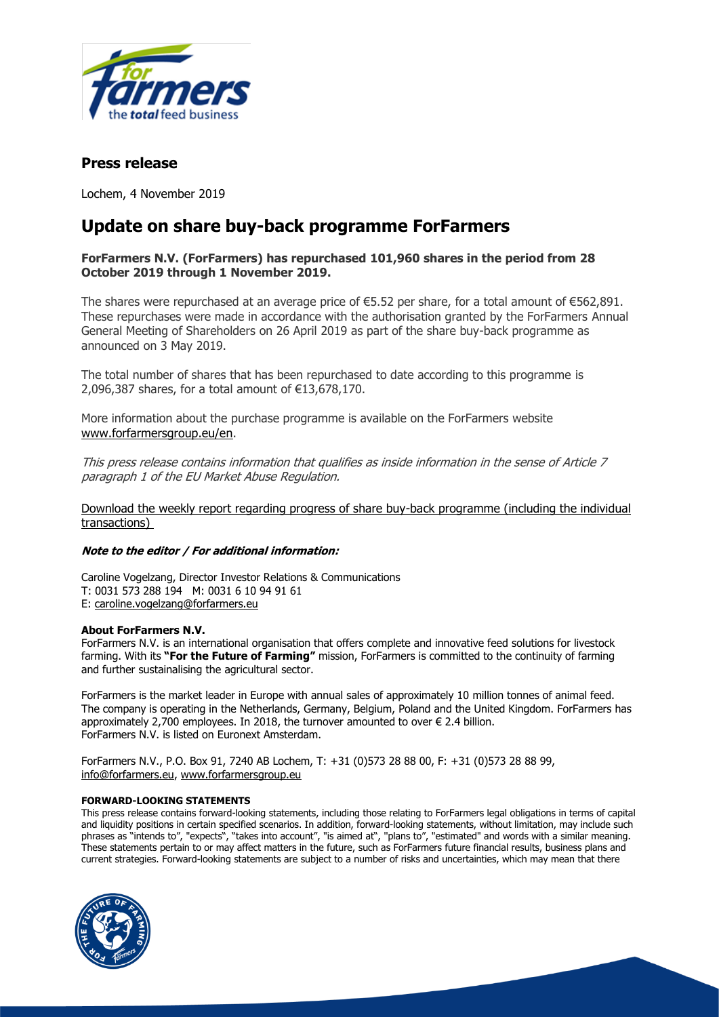

## **Press release**

Lochem, 4 November 2019

# **Update on share buy-back programme ForFarmers**

### **ForFarmers N.V. (ForFarmers) has repurchased 101,960 shares in the period from 28 October 2019 through 1 November 2019.**

The shares were repurchased at an average price of  $\epsilon$ 5.52 per share, for a total amount of  $\epsilon$ 562,891. These repurchases were made in accordance with the authorisation granted by the ForFarmers Annual General Meeting of Shareholders on 26 April 2019 as part of the share buy-back programme as announced on 3 May 2019.

The total number of shares that has been repurchased to date according to this programme is 2,096,387 shares, for a total amount of €13,678,170.

More information about the purchase programme is available on the ForFarmers website [www.forfarmersgroup.eu/en.](http://www.forfarmersgroup.eu/en)

This press release contains information that qualifies as inside information in the sense of Article 7 paragraph 1 of the EU Market Abuse Regulation.

[Download the weekly report regarding progress of share buy-back programme](https://www.globenewswire.com/Tracker?data=4TiMjpjdI5BJRhMwyrKeUpzKI6SvcK-7CPoR6GU8Mg0asNmP0Z3dPEtpS2RqKTD_Ie4hIl1OuQPyBj65gBhwElRiyYwko_7j2iG4vi8LOHFCRTBRA_vcHZ85UvE3Wyh18Pm8M-zca9Hs7-_e02k_N-FH6yU4GYV6B4FAhGBs5TTPQD4xBaEIKeAHAPqzGFOO-4hKQu5hGsPCMsRWuXIg8ACNUOVHQmmNYxYrEAvfX1puzIzlOgNNQ-nTQ4SbrF95qviptSBkMr4YVODOAhfK1Q==) (including the individual transactions)

#### **Note to the editor / For additional information:**

Caroline Vogelzang, Director Investor Relations & Communications T: 0031 573 288 194 M: 0031 6 10 94 91 61 E: [caroline.vogelzang@forfarmers.eu](mailto:caroline.vogelzang@forfarmers.eu)

#### **About ForFarmers N.V.**

ForFarmers N.V. is an international organisation that offers complete and innovative feed solutions for livestock farming. With its **"For the Future of Farming"** mission, ForFarmers is committed to the continuity of farming and further sustainalising the agricultural sector.

ForFarmers is the market leader in Europe with annual sales of approximately 10 million tonnes of animal feed. The company is operating in the Netherlands, Germany, Belgium, Poland and the United Kingdom. ForFarmers has approximately 2,700 employees. In 2018, the turnover amounted to over  $\epsilon$  2.4 billion. ForFarmers N.V. is listed on Euronext Amsterdam.

ForFarmers N.V., P.O. Box 91, 7240 AB Lochem, T: +31 (0)573 28 88 00, F: +31 (0)573 28 88 99, [info@forfarmers.eu,](mailto:info@forfarmers.eu) [www.forfarmersgroup.eu](http://www.forfarmersgroup.eu/)

#### **FORWARD-LOOKING STATEMENTS**

This press release contains forward-looking statements, including those relating to ForFarmers legal obligations in terms of capital and liquidity positions in certain specified scenarios. In addition, forward-looking statements, without limitation, may include such phrases as "intends to", "expects", "takes into account", "is aimed at", ''plans to", "estimated" and words with a similar meaning. These statements pertain to or may affect matters in the future, such as ForFarmers future financial results, business plans and current strategies. Forward-looking statements are subject to a number of risks and uncertainties, which may mean that there